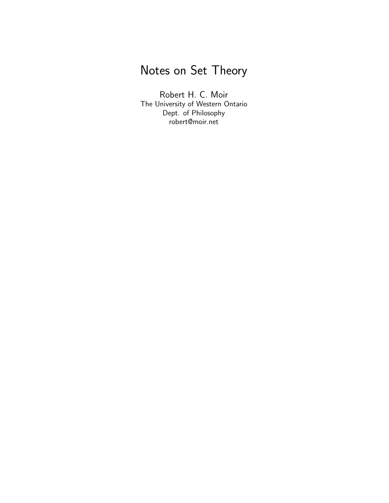# <span id="page-0-0"></span>Notes on Set Theory

Robert H. C. Moir The University of Western Ontario Dept. of Philosophy robert@moir.net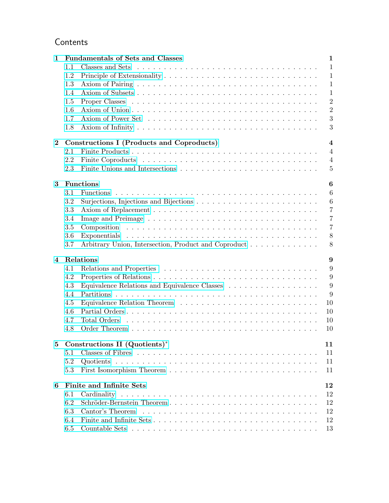## Contents

| $\mathbf{1}$   | <b>Fundamentals of Sets and Classes</b>                                                  | $\mathbf{1}$   |  |  |  |
|----------------|------------------------------------------------------------------------------------------|----------------|--|--|--|
|                | Classes and Sets<br>1.1                                                                  | $\mathbf{1}$   |  |  |  |
|                | 1.2                                                                                      | $\mathbf{1}$   |  |  |  |
|                | 1.3                                                                                      | $\mathbf{1}$   |  |  |  |
|                | 1.4                                                                                      | $\mathbf{1}$   |  |  |  |
|                | 1.5                                                                                      | $\overline{2}$ |  |  |  |
|                | 1.6                                                                                      | $\overline{2}$ |  |  |  |
|                | 1.7                                                                                      | 3              |  |  |  |
|                | 1.8                                                                                      | 3              |  |  |  |
| $\bf{2}$       | Constructions I (Products and Coproducts)<br>$\overline{\mathbf{4}}$                     |                |  |  |  |
|                | 2.1                                                                                      | $\overline{4}$ |  |  |  |
|                | 2.2                                                                                      | $\overline{4}$ |  |  |  |
|                | 2.3                                                                                      | $\overline{5}$ |  |  |  |
| 3              | <b>Functions</b>                                                                         | 6              |  |  |  |
|                | 3.1                                                                                      | 6              |  |  |  |
|                | 3.2                                                                                      | 6              |  |  |  |
|                | Surjections, Injections and Bijections $\dots \dots \dots \dots \dots \dots \dots \dots$ | $\overline{7}$ |  |  |  |
|                | 3.3                                                                                      | $\overline{7}$ |  |  |  |
|                | 3.4                                                                                      | $\overline{7}$ |  |  |  |
|                | 3.5                                                                                      |                |  |  |  |
|                | 3.6                                                                                      | 8<br>8         |  |  |  |
|                | Arbitrary Union, Intersection, Product and Coproduct<br>3.7                              |                |  |  |  |
| $\overline{4}$ | Relations                                                                                | 9              |  |  |  |
|                | 4.1                                                                                      | 9              |  |  |  |
|                | 4.2                                                                                      | 9              |  |  |  |
|                | 4.3                                                                                      | 9              |  |  |  |
|                | 4.4                                                                                      | 9              |  |  |  |
|                | 4.5                                                                                      | 10             |  |  |  |
|                | 4.6                                                                                      | 10             |  |  |  |
|                | 4.7                                                                                      | 10             |  |  |  |
|                | 4.8                                                                                      | 10             |  |  |  |
| 5              | Constructions II $(Quotients)^*$                                                         | 11             |  |  |  |
|                | 5.1                                                                                      | 11             |  |  |  |
|                | 5.2                                                                                      | 11             |  |  |  |
|                | 5.3                                                                                      | 11             |  |  |  |
| 6              | <b>Finite and Infinite Sets</b>                                                          | 12             |  |  |  |
|                |                                                                                          | 12             |  |  |  |
|                | 6.1<br>6.2<br>Schröder-Bernstein Theorem                                                 | 12             |  |  |  |
|                |                                                                                          |                |  |  |  |
|                | 6.3                                                                                      | 12             |  |  |  |
|                | 6.4                                                                                      | 12             |  |  |  |
|                | 6.5                                                                                      | 13             |  |  |  |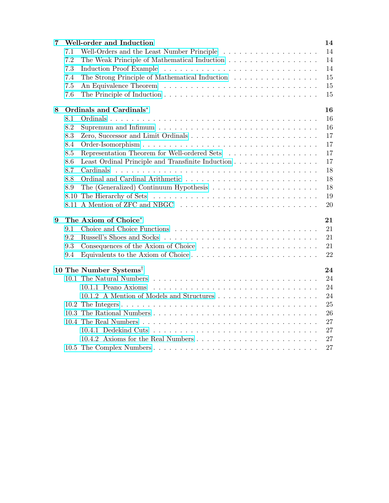| 7 |      | Well-order and Induction                          | 14 |
|---|------|---------------------------------------------------|----|
|   | 7.1  | Well-Orders and the Least Number Principle        | 14 |
|   | 7.2  | The Weak Principle of Mathematical Induction      | 14 |
|   | 7.3  |                                                   | 14 |
|   | 7.4  | The Strong Principle of Mathematical Induction    | 15 |
|   | 7.5  |                                                   | 15 |
|   | 7.6  |                                                   | 15 |
| 8 |      | Ordinals and Cardinals*                           | 16 |
|   | 8.1  |                                                   | 16 |
|   | 8.2  |                                                   | 16 |
|   | 8.3  |                                                   | 17 |
|   | 8.4  |                                                   | 17 |
|   | 8.5  | Representation Theorem for Well-ordered Sets      | 17 |
|   | 8.6  | Least Ordinal Principle and Transfinite Induction | 17 |
|   | 8.7  | Cardinals                                         | 18 |
|   | 8.8  |                                                   | 18 |
|   | 8.9  |                                                   | 18 |
|   | 8.10 |                                                   | 19 |
|   |      |                                                   | 20 |
| 9 |      | The Axiom of Choice*                              | 21 |
|   | 9.1  |                                                   | 21 |
|   | 9.2  |                                                   | 21 |
|   | 9.3  |                                                   | 21 |
|   | 9.4  |                                                   | 22 |
|   |      | 10 The Number Systems <sup>†</sup>                | 24 |
|   |      |                                                   | 24 |
|   |      | 10.1.1 Peano Axioms                               | 24 |
|   |      |                                                   | 24 |
|   |      |                                                   | 25 |
|   |      |                                                   | 26 |
|   |      |                                                   | 27 |
|   |      |                                                   | 27 |
|   |      |                                                   | 27 |
|   |      |                                                   | 27 |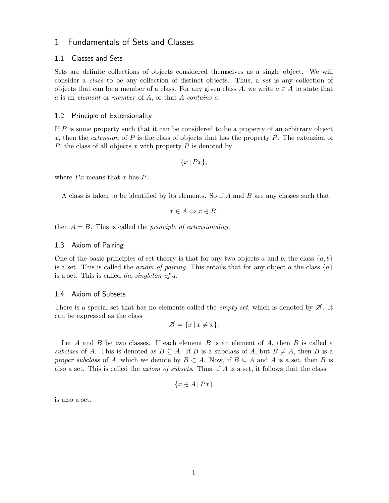### <span id="page-3-0"></span>1 Fundamentals of Sets and Classes

### <span id="page-3-1"></span>1.1 Classes and Sets

Sets are definite collections of objects considered themselves as a single object. We will consider a class to be any collection of distinct objects. Thus, a set is any collection of objects that can be a member of a class. For any given class A, we write  $a \in A$  to state that a is an element or member of A, or that A contains a.

### <span id="page-3-2"></span>1.2 Principle of Extensionality

If  $P$  is some property such that it can be considered to be a property of an arbitrary object x, then the *extension* of P is the class of objects that has the property P. The extension of P, the class of all objects x with property  $P$  is denoted by

 $\{x \mid Px\},\$ 

where  $Px$  means that x has  $P$ .

A class is taken to be identified by its elements. So if A and B are any classes such that

$$
x \in A \Leftrightarrow x \in B,
$$

then  $A = B$ . This is called the *principle of extensionality*.

### <span id="page-3-3"></span>1.3 Axiom of Pairing

One of the basic principles of set theory is that for any two objects a and b, the class  $\{a, b\}$ is a set. This is called the *axiom of pairing*. This entails that for any object a the class  $\{a\}$ is a set. This is called the singleton of  $a$ .

### <span id="page-3-4"></span>1.4 Axiom of Subsets

There is a special set that has no elements called the *empty set*, which is denoted by  $\emptyset$ . It can be expressed as the class

$$
\varnothing = \{x \mid x \neq x\}.
$$

Let A and B be two classes. If each element B is an element of A, then B is called a subclass of A. This is denoted as  $B \subseteq A$ . If B is a subclass of A, but  $B \neq A$ , then B is a proper subclass of A, which we denote by  $B \subset A$ . Now, if  $B \subseteq A$  and A is a set, then B is also a set. This is called the *axiom of subsets*. Thus, if  $A$  is a set, it follows that the class

$$
\{x \in A \mid Px\}
$$

is also a set.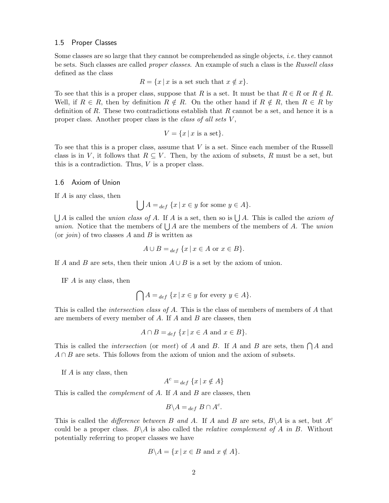### <span id="page-4-0"></span>1.5 Proper Classes

Some classes are so large that they cannot be comprehended as single objects, *i.e.* they cannot be sets. Such classes are called *proper classes*. An example of such a class is the Russell class defined as the class

$$
R = \{x \mid x \text{ is a set such that } x \notin x\}.
$$

To see that this is a proper class, suppose that R is a set. It must be that  $R \in \mathbb{R}$  or  $R \notin \mathbb{R}$ . Well, if  $R \in R$ , then by definition  $R \notin R$ . On the other hand if  $R \notin R$ , then  $R \in R$  by definition of R. These two contradictions establish that  $R$  cannot be a set, and hence it is a proper class. Another proper class is the *class of all sets* V,

$$
V = \{x \mid x \text{ is a set}\}.
$$

To see that this is a proper class, assume that V is a set. Since each member of the Russell class is in V, it follows that  $R \subseteq V$ . Then, by the axiom of subsets, R must be a set, but this is a contradiction. Thus,  $V$  is a proper class.

#### <span id="page-4-1"></span>1.6 Axiom of Union

If A is any class, then

$$
\bigcup A =_{def} \{x \mid x \in y \text{ for some } y \in A\}.
$$

 $\bigcup A$  is called the *union class of A*. If A is a set, then so is  $\bigcup A$ . This is called the *axiom of union*. Notice that the members of  $\bigcup A$  are the members of the members of A. The *union* (or *join*) of two classes A and B is written as

$$
A \cup B =_{def} \{x \mid x \in A \text{ or } x \in B\}.
$$

If A and B are sets, then their union  $A \cup B$  is a set by the axiom of union.

IF A is any class, then

$$
\bigcap A =_{def} \{x \mid x \in y \text{ for every } y \in A\}.
$$

This is called the *intersection class of A*. This is the class of members of members of A that are members of every member of A. If A and B are classes, then

$$
A \cap B =_{def} \{x \mid x \in A \text{ and } x \in B\}.
$$

This is called the *intersection* (or *meet*) of A and B. If A and B are sets, then  $\bigcap A$  and  $A \cap B$  are sets. This follows from the axiom of union and the axiom of subsets.

If A is any class, then

$$
A^c =_{def} \{x \mid x \notin A\}
$$

This is called the *complement* of A. If A and B are classes, then

$$
B \backslash A =_{def} B \cap A^c.
$$

This is called the *difference between* B and A. If A and B are sets,  $B \setminus A$  is a set, but  $A^c$ could be a proper class.  $B \setminus A$  is also called the *relative complement of* A in B. Without potentially referring to proper classes we have

$$
B \backslash A = \{ x \mid x \in B \text{ and } x \notin A \}.
$$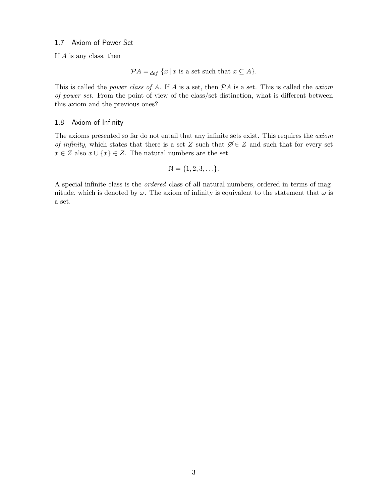### <span id="page-5-0"></span>1.7 Axiom of Power Set

If  $A$  is any class, then

$$
\mathcal{P}A =_{def} \{x \mid x \text{ is a set such that } x \subseteq A\}.
$$

This is called the *power class of A*. If A is a set, then  $PA$  is a set. This is called the *axiom* of power set. From the point of view of the class/set distinction, what is different between this axiom and the previous ones?

### <span id="page-5-1"></span>1.8 Axiom of Infinity

The axioms presented so far do not entail that any infinite sets exist. This requires the axiom of infinity, which states that there is a set Z such that  $\emptyset \in \mathbb{Z}$  and such that for every set  $x \in Z$  also  $x \cup \{x\} \in Z$ . The natural numbers are the set

$$
\mathbb{N} = \{1, 2, 3, \ldots\}.
$$

A special infinite class is the ordered class of all natural numbers, ordered in terms of magnitude, which is denoted by  $\omega$ . The axiom of infinity is equivalent to the statement that  $\omega$  is a set.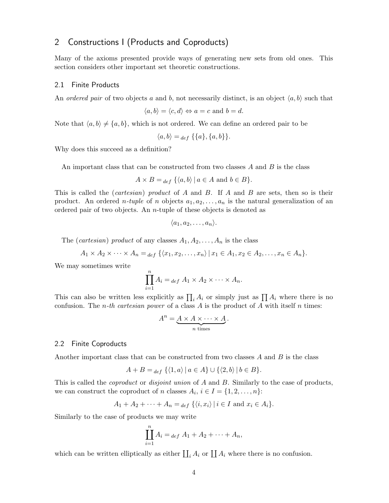### <span id="page-6-0"></span>2 Constructions I (Products and Coproducts)

Many of the axioms presented provide ways of generating new sets from old ones. This section considers other important set theoretic constructions.

#### <span id="page-6-1"></span>2.1 Finite Products

An ordered pair of two objects a and b, not necessarily distinct, is an object  $\langle a, b \rangle$  such that

$$
\langle a, b \rangle = \langle c, d \rangle \Leftrightarrow a = c \text{ and } b = d.
$$

Note that  $\langle a, b \rangle \neq \{a, b\}$ , which is not ordered. We can define an ordered pair to be

$$
\langle a,b\rangle =_{def} \{\{a\},\{a,b\}\}.
$$

Why does this succeed as a definition?

An important class that can be constructed from two classes  $A$  and  $B$  is the class

$$
A \times B =_{def} \{ \langle a, b \rangle \mid a \in A \text{ and } b \in B \}.
$$

This is called the *(cartesian)* product of A and B. If A and B are sets, then so is their product. An ordered *n-tuple* of *n* objects  $a_1, a_2, \ldots, a_n$  is the natural generalization of an ordered pair of two objects. An n-tuple of these objects is denoted as

$$
\langle a_1, a_2, \ldots, a_n \rangle.
$$

The (cartesian) product of any classes  $A_1, A_2, \ldots, A_n$  is the class

 $A_1 \times A_2 \times \cdots \times A_n =_{def} \{ \langle x_1, x_2, \ldots, x_n \rangle \mid x_1 \in A_1, x_2 \in A_2, \ldots, x_n \in A_n \}.$ 

We may sometimes write

$$
\prod_{i=1}^n A_i =_{def} A_1 \times A_2 \times \cdots \times A_n.
$$

This can also be written less explicitly as  $\prod_i A_i$  or simply just as  $\prod_i A_i$  where there is no confusion. The *n*-th cartesian power of a class A is the product of A with itself n times:

$$
A^n = \underbrace{A \times A \times \cdots \times A}_{n \text{ times}}.
$$

#### <span id="page-6-2"></span>2.2 Finite Coproducts

Another important class that can be constructed from two classes  $A$  and  $B$  is the class

$$
A + B =_{def} \{ \langle 1, a \rangle \mid a \in A \} \cup \{ \langle 2, b \rangle \mid b \in B \}.
$$

This is called the *coproduct* or *disjoint union* of A and B. Similarly to the case of products, we can construct the coproduct of n classes  $A_i$ ,  $i \in I = \{1, 2, ..., n\}$ :

$$
A_1 + A_2 + \cdots + A_n =_{def} \{ \langle i, x_i \rangle \mid i \in I \text{ and } x_i \in A_i \}.
$$

Similarly to the case of products we may write

$$
\prod_{i=1}^{n} A_i =_{def} A_1 + A_2 + \dots + A_n,
$$

which can be written elliptically as either  $\prod_i A_i$  or  $\prod_i A_i$  where there is no confusion.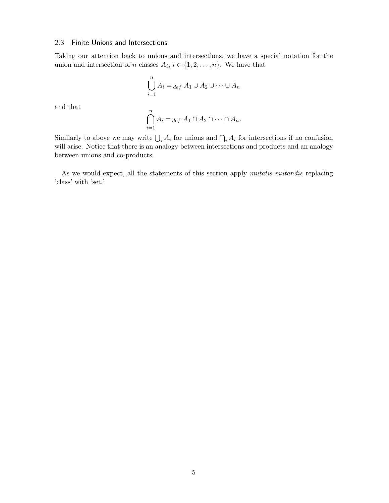### <span id="page-7-0"></span>2.3 Finite Unions and Intersections

Taking our attention back to unions and intersections, we have a special notation for the union and intersection of n classes  $A_i$ ,  $i \in \{1, 2, ..., n\}$ . We have that

$$
\bigcup_{i=1}^{n} A_i =_{def} A_1 \cup A_2 \cup \dots \cup A_n
$$

and that

$$
\bigcap_{i=1}^{n} A_i =_{def} A_1 \cap A_2 \cap \cdots \cap A_n.
$$

Similarly to above we may write  $\bigcup_i A_i$  for unions and  $\bigcap_i A_i$  for intersections if no confusion will arise. Notice that there is an analogy between intersections and products and an analogy between unions and co-products.

As we would expect, all the statements of this section apply *mutatis mutandis* replacing 'class' with 'set.'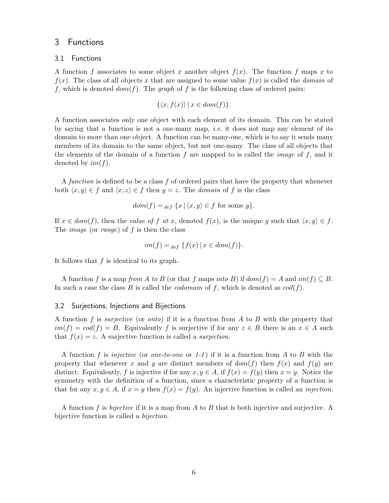### <span id="page-8-0"></span>3 Functions

### <span id="page-8-1"></span>3.1 Functions

A function f associates to some object x another object  $f(x)$ . The function f maps x to  $f(x)$ . The class of all objects x that are assigned to some value  $f(x)$  is called the *domain* of f, which is denoted  $dom(f)$ . The graph of f is the following class of ordered pairs:

$$
\{\langle x, f(x)\rangle \mid x \in dom(f)\}.
$$

A function associates only one object with each element of its domain. This can be stated by saying that a function is not a one-many map, *i.e.* it does not map any element of its domain to more than one object. A function can be many-one, which is to say it sends many members of its domain to the same object, but not one-many. The class of all objects that the elements of the domain of a function  $f$  are mapped to is called the *image* of  $f$ , and it denoted by  $im(f)$ .

A function is defined to be a class  $f$  of ordered pairs that have the property that whenever both  $\langle x, y \rangle \in f$  and  $\langle x, z \rangle \in f$  then  $y = z$ . The *domain* of f is the class

$$
dom(f) =_{def} \{x \mid \langle x, y \rangle \in f \text{ for some } y\}.
$$

If  $x \in dom(f)$ , then the value of f at x, denoted  $f(x)$ , is the unique y such that  $\langle x, y \rangle \in f$ . The *image* (or *range*) of  $f$  is then the class

$$
im(f) =_{def} \{ f(x) \mid x \in dom(f) \}.
$$

It follows that  $f$  is identical to its graph.

A function f is a map from A to B (or that f maps into B) if  $dom(f) = A$  and  $im(f) \subseteq B$ . In such a case the class B is called the *codomain* of f, which is denoted as  $cod(f)$ .

### <span id="page-8-2"></span>3.2 Surjections, Injections and Bijections

A function f is *surjective* (or *onto*) if it is a function from A to B with the property that  $im(f) = cod(f) = B$ . Equivalently f is surjective if for any  $z \in B$  there is an  $x \in A$  such that  $f(x) = z$ . A surjective function is called a *surjection*.

A function f is injective (or one-to-one or 1-1) if it is a function from A to B with the property that whenever x and y are distinct members of  $dom(f)$  then  $f(x)$  and  $f(y)$  are distinct. Equivalently, f is injective if for any  $x, y \in A$ , if  $f(x) = f(y)$  then  $x = y$ . Notice the symmetry with the definition of a function, since a characteristic property of a function is that for any  $x, y \in A$ , if  $x = y$  then  $f(x) = f(y)$ . An injective function is called an *injection*.

A function f is *bijective* if it is a map from A to B that is both injective and surjective. A bijective function is called a bijection.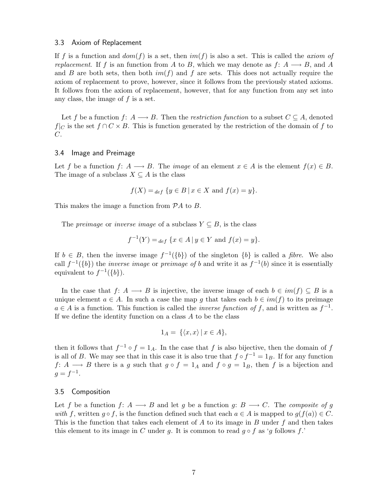#### <span id="page-9-0"></span>3.3 Axiom of Replacement

If f is a function and  $dom(f)$  is a set, then  $im(f)$  is also a set. This is called the *axiom of* replacement. If f is an function from A to B, which we may denote as  $f: A \longrightarrow B$ , and A and B are both sets, then both  $im(f)$  and f are sets. This does not actually require the axiom of replacement to prove, however, since it follows from the previously stated axioms. It follows from the axiom of replacement, however, that for any function from any set into any class, the image of f is a set.

Let f be a function f:  $A \longrightarrow B$ . Then the *restriction function* to a subset  $C \subseteq A$ , denoted  $f|_C$  is the set  $f \cap C \times B$ . This is function generated by the restriction of the domain of f to C.

### <span id="page-9-1"></span>3.4 Image and Preimage

Let f be a function f:  $A \longrightarrow B$ . The *image* of an element  $x \in A$  is the element  $f(x) \in B$ . The image of a subclass  $X \subseteq A$  is the class

$$
f(X) =_{def} \{y \in B \mid x \in X \text{ and } f(x) = y\}.
$$

This makes the image a function from  $\mathcal{P}A$  to B.

The *preimage* or *inverse image* of a subclass  $Y \subseteq B$ , is the class

$$
f^{-1}(Y) =_{def} \{ x \in A \mid y \in Y \text{ and } f(x) = y \}.
$$

If  $b \in B$ , then the inverse image  $f^{-1}(\{b\})$  of the singleton  $\{b\}$  is called a *fibre*. We also call  $f^{-1}(\{b\})$  the *inverse image* or *preimage of b* and write it as  $f^{-1}(b)$  since it is essentially equivalent to  $f^{-1}(\{b\})$ .

In the case that  $f: A \longrightarrow B$  is injective, the inverse image of each  $b \in im(f) \subseteq B$  is a unique element  $a \in A$ . In such a case the map g that takes each  $b \in im(f)$  to its preimage  $a \in A$  is a function. This function is called the *inverse function of f*, and is written as  $f^{-1}$ . If we define the identity function on a class A to be the class

$$
1_A = \{ \langle x, x \rangle \, | \, x \in A \},
$$

then it follows that  $f^{-1} \circ f = 1_A$ . In the case that f is also bijective, then the domain of f is all of B. We may see that in this case it is also true that  $f \circ f^{-1} = 1_B$ . If for any function f: A  $\rightarrow$  B there is a g such that  $g \circ f = 1_A$  and  $f \circ g = 1_B$ , then f is a bijection and  $g = f^{-1}.$ 

### <span id="page-9-2"></span>3.5 Composition

Let f be a function f: A  $\longrightarrow$  B and let g be a function g: B  $\longrightarrow$  C. The composite of g with f, written  $q \circ f$ , is the function defined such that each  $a \in A$  is mapped to  $q(f(a)) \in C$ . This is the function that takes each element of A to its image in B under  $f$  and then takes this element to its image in C under g. It is common to read  $g \circ f$  as 'g follows f.'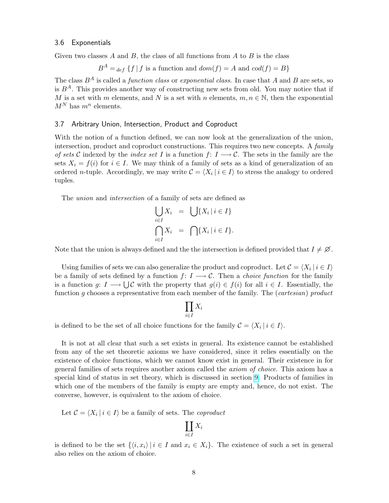### <span id="page-10-0"></span>3.6 Exponentials

Given two classes  $A$  and  $B$ , the class of all functions from  $A$  to  $B$  is the class

$$
B^{A} =_{def} \{ f | f \text{ is a function and } dom(f) = A \text{ and } cod(f) = B \}
$$

The class  $B^A$  is called a *function class* or *exponential class*. In case that A and B are sets, so is  $B^A$ . This provides another way of constructing new sets from old. You may notice that if M is a set with m elements, and N is a set with n elements,  $m, n \in \mathbb{N}$ , then the exponential  $M^N$  has  $m^n$  elements.

### <span id="page-10-1"></span>3.7 Arbitrary Union, Intersection, Product and Coproduct

With the notion of a function defined, we can now look at the generalization of the union, intersection, product and coproduct constructions. This requires two new concepts. A family of sets C indexed by the *index set I* is a function  $f: I \longrightarrow C$ . The sets in the family are the sets  $X_i = f(i)$  for  $i \in I$ . We may think of a family of sets as a kind of generalization of an ordered *n*-tuple. Accordingly, we may write  $\mathcal{C} = \langle X_i | i \in I \rangle$  to stress the analogy to ordered tuples.

The union and intersection of a family of sets are defined as

$$
\bigcup_{i \in I} X_i = \bigcup \{ X_i \mid i \in I \}
$$

$$
\bigcap_{i \in I} X_i = \bigcap \{ X_i \mid i \in I \}.
$$

Note that the union is always defined and the the intersection is defined provided that  $I \neq \emptyset$ .

Using families of sets we can also generalize the product and coproduct. Let  $\mathcal{C} = \langle X_i | i \in I \rangle$ be a family of sets defined by a function  $f: I \longrightarrow C$ . Then a *choice function* for the family is a function g:  $I \longrightarrow \bigcup \mathcal{C}$  with the property that  $g(i) \in f(i)$  for all  $i \in I$ . Essentially, the function g chooses a representative from each member of the family. The (*cartesian*) product

$$
\prod_{i\in I}X_i
$$

 $\overline{y}$ 

is defined to be the set of all choice functions for the family  $C = \langle X_i | i \in I \rangle$ .

It is not at all clear that such a set exists in general. Its existence cannot be established from any of the set theoretic axioms we have considered, since it relies essentially on the existence of choice functions, which we cannot know exist in general. Their existence in for general families of sets requires another axiom called the axiom of choice. This axiom has a special kind of status in set theory, which is discussed in section [9.](#page-23-0) Products of families in which one of the members of the family is empty are empty and, hence, do not exist. The converse, however, is equivalent to the axiom of choice.

Let  $C = \langle X_i | i \in I \rangle$  be a family of sets. The coproduct

is defined to be the set  $\{\langle i, x_i \rangle | i \in I \text{ and } x_i \in X_i\}.$  The existence of such a set in general also relies on the axiom of choice.

 $X_i$ 

II i∈I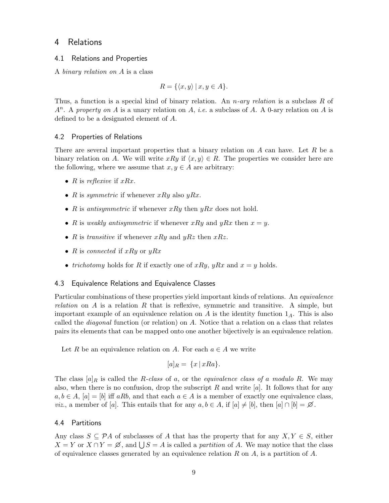### <span id="page-11-0"></span>4 Relations

### <span id="page-11-1"></span>4.1 Relations and Properties

A binary relation on A is a class

$$
R = \{ \langle x, y \rangle \mid x, y \in A \}.
$$

Thus, a function is a special kind of binary relation. An *n*-ary relation is a subclass R of  $A<sup>n</sup>$ . A property on A is a unary relation on A, *i.e.* a subclass of A. A 0-ary relation on A is defined to be a designated element of A.

### <span id="page-11-2"></span>4.2 Properties of Relations

There are several important properties that a binary relation on  $A$  can have. Let  $R$  be a binary relation on A. We will write  $xRy$  if  $\langle x, y \rangle \in R$ . The properties we consider here are the following, where we assume that  $x, y \in A$  are arbitrary:

- R is reflexive if  $xRx$ .
- R is symmetric if whenever  $xRy$  also  $yRx$ .
- R is antisymmetric if whenever  $xRy$  then  $yRx$  does not hold.
- R is weakly antisymmetric if whenever xRy and yRx then  $x = y$ .
- R is transitive if whenever  $xRy$  and  $yRz$  then  $xRz$ .
- R is connected if  $xRy$  or  $yRx$
- trichotomy holds for R if exactly one of xRy, yRx and  $x = y$  holds.

### <span id="page-11-3"></span>4.3 Equivalence Relations and Equivalence Classes

Particular combinations of these properties yield important kinds of relations. An *equivalence relation* on A is a relation R that is reflexive, symmetric and transitive. A simple, but important example of an equivalence relation on A is the identity function  $1_A$ . This is also called the diagonal function (or relation) on A. Notice that a relation on a class that relates pairs its elements that can be mapped onto one another bijectively is an equivalence relation.

Let R be an equivalence relation on A. For each  $a \in A$  we write

$$
[a]_R = \{x \mid xRa\}.
$$

The class  $[a]_R$  is called the R-class of a, or the equivalence class of a modulo R. We may also, when there is no confusion, drop the subscript R and write  $[a]$ . It follows that for any  $a, b \in A$ ,  $[a] = [b]$  iff aRb, and that each  $a \in A$  is a member of exactly one equivalence class, *viz.*, a member of [a]. This entails that for any  $a, b \in A$ , if  $[a] \neq [b]$ , then  $[a] \cap [b] = \emptyset$ .

### <span id="page-11-4"></span>4.4 Partitions

Any class  $S \subseteq \mathcal{P}A$  of subclasses of A that has the property that for any  $X, Y \in S$ , either  $X = Y$  or  $X \cap Y = \emptyset$ , and  $\bigcup S = A$  is called a partition of A. We may notice that the class of equivalence classes generated by an equivalence relation R on  $A$ , is a partition of  $A$ .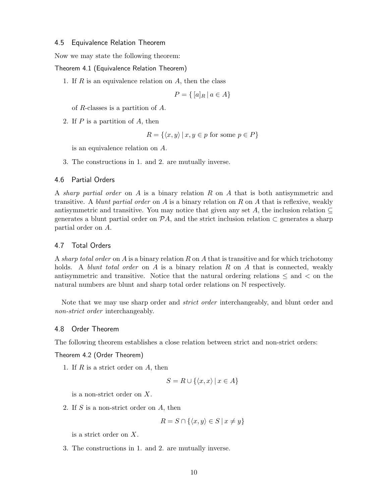### <span id="page-12-0"></span>4.5 Equivalence Relation Theorem

Now we may state the following theorem:

Theorem 4.1 (Equivalence Relation Theorem)

1. If  $R$  is an equivalence relation on  $A$ , then the class

$$
P = \{ [a]_R \mid a \in A \}
$$

of R-classes is a partition of A.

2. If P is a partition of A, then

$$
R = \{ \langle x, y \rangle \, | \, x, y \in p \text{ for some } p \in P \}
$$

is an equivalence relation on A.

3. The constructions in 1. and 2. are mutually inverse.

### <span id="page-12-1"></span>4.6 Partial Orders

A sharp partial order on A is a binary relation R on A that is both antisymmetric and transitive. A blunt partial order on A is a binary relation on R on A that is reflexive, weakly antisymmetric and transitive. You may notice that given any set A, the inclusion relation  $\subset$ generates a blunt partial order on  $\mathcal{P}A$ , and the strict inclusion relation  $\subset$  generates a sharp partial order on A.

### <span id="page-12-2"></span>4.7 Total Orders

A sharp total order on  $A$  is a binary relation  $R$  on  $A$  that is transitive and for which trichotomy holds. A *blunt total order* on A is a binary relation R on A that is connected, weakly antisymmetric and transitive. Notice that the natural ordering relations  $\leq$  and  $\lt$  on the natural numbers are blunt and sharp total order relations on N respectively.

Note that we may use sharp order and *strict order* interchangeably, and blunt order and non-strict order interchangeably.

### <span id="page-12-3"></span>4.8 Order Theorem

The following theorem establishes a close relation between strict and non-strict orders:

Theorem 4.2 (Order Theorem)

1. If  $R$  is a strict order on  $A$ , then

$$
S = R \cup \{ \langle x, x \rangle \mid x \in A \}
$$

is a non-strict order on X.

2. If S is a non-strict order on A, then

$$
R = S \cap \{ \langle x, y \rangle \in S \mid x \neq y \}
$$

is a strict order on X.

3. The constructions in 1. and 2. are mutually inverse.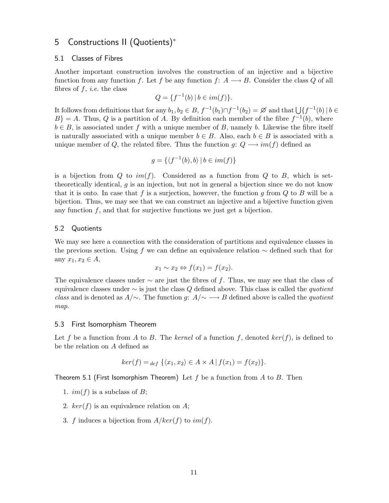### <span id="page-13-0"></span>5 Constructions II (Quotients)<sup>∗</sup>

#### <span id="page-13-1"></span>5.1 Classes of Fibres

Another important construction involves the construction of an injective and a bijective function from any function f. Let f be any function f:  $A \rightarrow B$ . Consider the class Q of all fibres of  $f, i.e.$  the class

$$
Q = \{ f^{-1}(b) \mid b \in im(f) \}.
$$

It follows from definitions that for any  $b_1, b_2 \in B$ ,  $f^{-1}(b_1) \cap f^{-1}(b_2) = \emptyset$  and that  $\bigcup \{f^{-1}(b) \mid b \in B\}$ <br> $P_1 = A$ . Thus,  $\Omega$  is a partition of A. By definition aseb member of the fibre  $f^{-1}(b)$ , where  $B$ } = A. Thus, Q is a partition of A. By definition each member of the fibre  $f^{-1}(b)$ , where  $b \in B$ , is associated under f with a unique member of B, namely b. Likewise the fibre itself is naturally associated with a unique member  $b \in B$ . Also, each  $b \in B$  is associated with a unique member of Q, the related fibre. Thus the function  $g: Q \longrightarrow im(f)$  defined as

$$
g = \{ \langle f^{-1}(b), b \rangle \mid b \in im(f) \}
$$

is a bijection from Q to  $im(f)$ . Considered as a function from Q to B, which is settheoretically identical, g is an injection, but not in general a bijection since we do not know that it is onto. In case that f is a surjection, however, the function g from  $Q$  to B will be a bijection. Thus, we may see that we can construct an injective and a bijective function given any function  $f$ , and that for surjective functions we just get a bijection.

### <span id="page-13-2"></span>5.2 Quotients

We may see here a connection with the consideration of partitions and equivalence classes in the previous section. Using f we can define an equivalence relation  $\sim$  defined such that for any  $x_1, x_2 \in A$ ,

$$
x_1 \sim x_2 \Leftrightarrow f(x_1) = f(x_2).
$$

The equivalence classes under  $\sim$  are just the fibres of f. Thus, we may see that the class of equivalence classes under  $\sim$  is just the class Q defined above. This class is called the *quotient* class and is denoted as  $A/\sim$ . The function g:  $A/\sim \longrightarrow B$  defined above is called the quotient map.

### <span id="page-13-3"></span>5.3 First Isomorphism Theorem

Let f be a function from A to B. The kernel of a function f, denoted  $ker(f)$ , is defined to be the relation on A defined as

$$
ker(f) =_{def} \{ \langle x_1, x_2 \rangle \in A \times A \mid f(x_1) = f(x_2) \}.
$$

Theorem 5.1 (First Isomorphism Theorem) Let  $f$  be a function from  $A$  to  $B$ . Then

- 1.  $im(f)$  is a subclass of B;
- 2.  $ker(f)$  is an equivalence relation on A;
- 3. f induces a bijection from  $A/ker(f)$  to  $im(f)$ .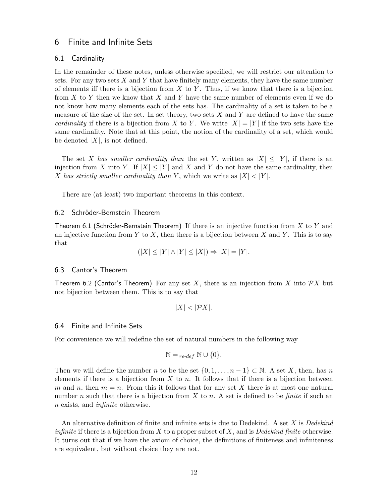### <span id="page-14-0"></span>6 Finite and Infinite Sets

### <span id="page-14-1"></span>6.1 Cardinality

In the remainder of these notes, unless otherwise specified, we will restrict our attention to sets. For any two sets  $X$  and  $Y$  that have finitely many elements, they have the same number of elements iff there is a bijection from X to Y. Thus, if we know that there is a bijection from  $X$  to  $Y$  then we know that  $X$  and  $Y$  have the same number of elements even if we do not know how many elements each of the sets has. The cardinality of a set is taken to be a measure of the size of the set. In set theory, two sets  $X$  and  $Y$  are defined to have the same cardinality if there is a bijection from X to Y. We write  $|X| = |Y|$  if the two sets have the same cardinality. Note that at this point, the notion of the cardinality of a set, which would be denoted  $|X|$ , is not defined.

The set X has smaller cardinality than the set Y, written as  $|X| \leq |Y|$ , if there is an injection from X into Y. If  $|X| \leq |Y|$  and X and Y do not have the same cardinality, then X has strictly smaller cardinality than Y, which we write as  $|X| < |Y|$ .

There are (at least) two important theorems in this context.

### <span id="page-14-2"></span>6.2 Schröder-Bernstein Theorem

Theorem 6.1 (Schröder-Bernstein Theorem) If there is an injective function from X to Y and an injective function from Y to X, then there is a bijection between X and Y. This is to say that

$$
(|X| \le |Y| \land |Y| \le |X|) \Rightarrow |X| = |Y|.
$$

### <span id="page-14-3"></span>6.3 Cantor's Theorem

Theorem 6.2 (Cantor's Theorem) For any set X, there is an injection from X into  $\mathcal{P}X$  but not bijection between them. This is to say that

$$
|X| < |\mathcal{P}X|.
$$

### <span id="page-14-4"></span>6.4 Finite and Infinite Sets

For convenience we will redefine the set of natural numbers in the following way

$$
\mathbb{N} =_{re\text{-}def} \mathbb{N} \cup \{0\}.
$$

Then we will define the number n to be the set  $\{0, 1, \ldots, n-1\} \subset \mathbb{N}$ . A set X, then, has n elements if there is a bijection from  $X$  to  $n$ . It follows that if there is a bijection between m and n, then  $m = n$ . From this it follows that for any set X there is at most one natural number n such that there is a bijection from X to n. A set is defined to be *finite* if such an n exists, and infinite otherwise.

An alternative definition of finite and infinite sets is due to Dedekind. A set X is Dedekind *infinite* if there is a bijection from X to a proper subset of X, and is *Dedekind finite* otherwise. It turns out that if we have the axiom of choice, the definitions of finiteness and infiniteness are equivalent, but without choice they are not.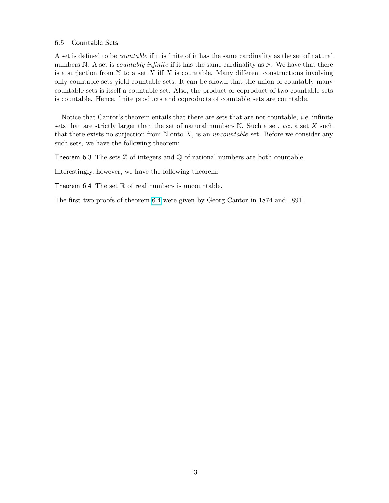### <span id="page-15-0"></span>6.5 Countable Sets

A set is defined to be countable if it is finite of it has the same cardinality as the set of natural numbers N. A set is *countably infinite* if it has the same cardinality as N. We have that there is a surjection from  $\mathbb N$  to a set X iff X is countable. Many different constructions involving only countable sets yield countable sets. It can be shown that the union of countably many countable sets is itself a countable set. Also, the product or coproduct of two countable sets is countable. Hence, finite products and coproducts of countable sets are countable.

Notice that Cantor's theorem entails that there are sets that are not countable, *i.e.* infinite sets that are strictly larger than the set of natural numbers  $N$ . Such a set, *viz.* a set  $X$  such that there exists no surjection from  $N$  onto X, is an uncountable set. Before we consider any such sets, we have the following theorem:

Theorem 6.3 The sets  $\mathbb Z$  of integers and  $\mathbb Q$  of rational numbers are both countable.

<span id="page-15-1"></span>Interestingly, however, we have the following theorem:

Theorem  $6.4$  The set  $\mathbb R$  of real numbers is uncountable.

The first two proofs of theorem [6.4](#page-15-1) were given by Georg Cantor in 1874 and 1891.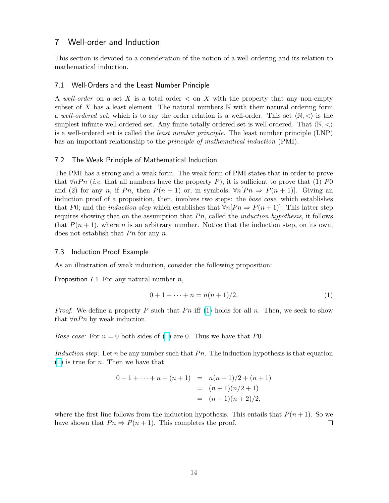### <span id="page-16-0"></span>7 Well-order and Induction

This section is devoted to a consideration of the notion of a well-ordering and its relation to mathematical induction.

### <span id="page-16-1"></span>7.1 Well-Orders and the Least Number Principle

A well-order on a set X is a total order  $\lt$  on X with the property that any non-empty subset of X has a least element. The natural numbers  $\mathbb N$  with their natural ordering form a well-ordered set, which is to say the order relation is a well-order. This set  $\langle N, \langle \rangle$  is the simplest infinite well-ordered set. Any finite totally ordered set is well-ordered. That  $\langle N, \langle \rangle$ is a well-ordered set is called the least number principle. The least number principle (LNP) has an important relationship to the *principle of mathematical induction* (PMI).

### <span id="page-16-2"></span>7.2 The Weak Principle of Mathematical Induction

The PMI has a strong and a weak form. The weak form of PMI states that in order to prove that  $\forall nPn$  (*i.e.* that all numbers have the property P), it is sufficient to prove that (1) P0 and (2) for any n, if Pn, then  $P(n + 1)$  or, in symbols,  $\forall n[Pn \Rightarrow P(n + 1)]$ . Giving an induction proof of a proposition, then, involves two steps: the base case, which establishes that P0; and the *induction step* which establishes that  $\forall n[Pn \Rightarrow P(n+1)]$ . This latter step requires showing that on the assumption that  $P_n$ , called the *induction hypothesis*, it follows that  $P(n + 1)$ , where n is an arbitrary number. Notice that the induction step, on its own, does not establish that  $P_n$  for any n.

### <span id="page-16-3"></span>7.3 Induction Proof Example

As an illustration of weak induction, consider the following proposition:

Proposition 7.1 For any natural number  $n$ ,

$$
0 + 1 + \dots + n = n(n+1)/2.
$$
 (1)

*Proof.* We define a property P such that Pn iff [\(1\)](#page-0-0) holds for all n. Then, we seek to show that  $\forall n P_n$  by weak induction.

*Base case:* For  $n = 0$  both sides of [\(1\)](#page-0-0) are 0. Thus we have that P0.

Induction step: Let n be any number such that  $P_n$ . The induction hypothesis is that equation  $(1)$  is true for *n*. Then we have that

$$
0 + 1 + \dots + n + (n + 1) = n(n + 1)/2 + (n + 1)
$$
  
= (n + 1)(n/2 + 1)  
= (n + 1)(n + 2)/2,

where the first line follows from the induction hypothesis. This entails that  $P(n+1)$ . So we have shown that  $Pn \Rightarrow P(n+1)$ . This completes the proof.  $\Box$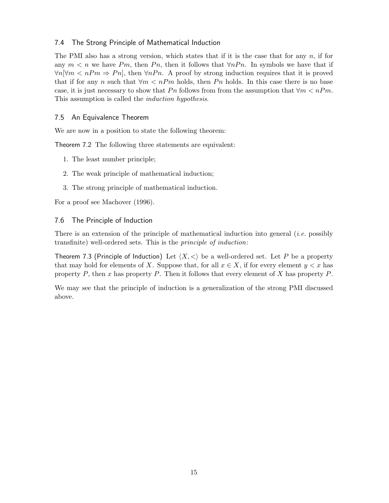### <span id="page-17-0"></span>7.4 The Strong Principle of Mathematical Induction

The PMI also has a strong version, which states that if it is the case that for any  $n$ , if for any  $m < n$  we have Pm, then Pn, then it follows that  $\forall nPn$ . In symbols we have that if  $\forall n[\forall m < nPm \Rightarrow Pn]$ , then  $\forall nPn$ . A proof by strong induction requires that it is proved that if for any n such that  $\forall m < nPm$  holds, then Pn holds. In this case there is no base case, it is just necessary to show that Pn follows from from the assumption that  $\forall m < nPm$ . This assumption is called the induction hypothesis.

### <span id="page-17-1"></span>7.5 An Equivalence Theorem

We are now in a position to state the following theorem:

Theorem 7.2 The following three statements are equivalent:

- 1. The least number principle;
- 2. The weak principle of mathematical induction;
- 3. The strong principle of mathematical induction.

For a proof see Machover (1996).

### <span id="page-17-2"></span>7.6 The Principle of Induction

There is an extension of the principle of mathematical induction into general (i.e. possibly transfinite) well-ordered sets. This is the principle of induction:

Theorem 7.3 (Principle of Induction) Let  $\langle X, \langle \rangle$  be a well-ordered set. Let P be a property that may hold for elements of X. Suppose that, for all  $x \in X$ , if for every element  $y < x$  has property  $P$ , then x has property  $P$ . Then it follows that every element of X has property  $P$ .

We may see that the principle of induction is a generalization of the strong PMI discussed above.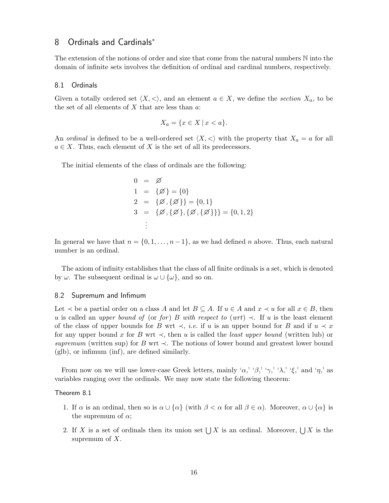### <span id="page-18-0"></span>8 Ordinals and Cardinals<sup>∗</sup>

The extension of the notions of order and size that come from the natural numbers N into the domain of infinite sets involves the definition of ordinal and cardinal numbers, respectively.

#### <span id="page-18-1"></span>8.1 Ordinals

Given a totally ordered set  $\langle X, \langle \rangle$ , and an element  $a \in X$ , we define the section  $X_a$ , to be the set of all elements of  $X$  that are less than  $a$ :

$$
X_a = \{ x \in X \, | \, x < a \}.
$$

An ordinal is defined to be a well-ordered set  $\langle X, \langle \rangle$  with the property that  $X_a = a$  for all  $a \in X$ . Thus, each element of X is the set of all its predecessors.

The initial elements of the class of ordinals are the following:

$$
0 = \emptyset
$$
  
\n
$$
1 = \{\emptyset\} = \{0\}
$$
  
\n
$$
2 = \{\emptyset, \{\emptyset\}\} = \{0, 1\}
$$
  
\n
$$
3 = \{\emptyset, \{\emptyset\}, \{\emptyset, \{\emptyset\}\}\} = \{0, 1, 2\}
$$
  
\n
$$
\vdots
$$

In general we have that  $n = \{0, 1, \ldots, n-1\}$ , as we had defined n above. Thus, each natural number is an ordinal.

The axiom of infinity establishes that the class of all finite ordinals is a set, which is denoted by  $\omega$ . The subsequent ordinal is  $\omega \cup {\omega}$ , and so on.

#### <span id="page-18-2"></span>8.2 Supremum and Infimum

Let  $\prec$  be a partial order on a class A and let  $B \subseteq A$ . If  $u \in A$  and  $x \prec u$  for all  $x \in B$ , then u is called an upper bound of (or for) B with respect to (wrt)  $\prec$ . If u is the least element of the class of upper bounds for B wrt  $\prec$ , *i.e.* if u is an upper bound for B and if  $u \prec x$ for any upper bound x for B wrt  $\prec$ , then u is called the *least upper bound* (written lub) or supremum (written sup) for B wrt  $\prec$ . The notions of lower bound and greatest lower bound (glb), or infimum (inf), are defined similarly.

From now on we will use lower-case Greek letters, mainly ' $\alpha$ ,' ' $\beta$ ,' ' $\gamma$ ,' ' $\lambda$ ,' ' $\xi$ ,' and ' $\eta$ ,' as variables ranging over the ordinals. We may now state the following theorem:

### Theorem 8.1

- 1. If  $\alpha$  is an ordinal, then so is  $\alpha \cup {\alpha}$  (with  $\beta < \alpha$  for all  $\beta \in \alpha$ ). Moreover,  $\alpha \cup {\alpha}$  is the supremum of  $\alpha$ ;
- 2. If X is a set of ordinals then its union set  $\bigcup X$  is an ordinal. Moreover,  $\bigcup X$  is the supremum of  $X$ .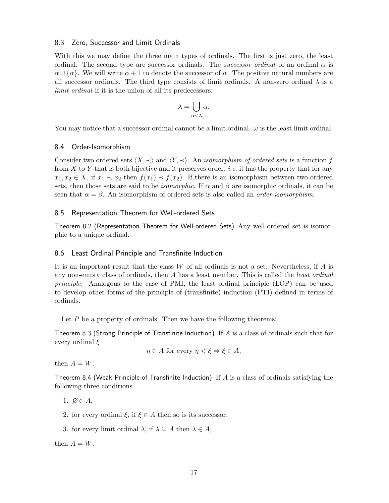### <span id="page-19-0"></span>8.3 Zero, Successor and Limit Ordinals

With this we may define the three main types of ordinals. The first is just zero, the least ordinal. The second type are successor ordinals. The *successor ordinal* of an ordinal  $\alpha$  is  $\alpha \cup {\alpha}$ . We will write  $\alpha + 1$  to denote the successor of  $\alpha$ . The positive natural numbers are all successor ordinals. The third type consists of limit ordinals. A non-zero ordinal  $\lambda$  is a limit ordinal if it is the union of all its predecessors:

$$
\lambda = \bigcup_{\alpha < \lambda} \alpha.
$$

You may notice that a successor ordinal cannot be a limit ordinal.  $\omega$  is the least limit ordinal.

### <span id="page-19-1"></span>8.4 Order-Isomorphism

Consider two ordered sets  $\langle X, \prec \rangle$  and  $\langle Y, \prec \rangle$ . An *isomorphism of ordered sets* is a function f from X to Y that is both bijective and it preserves order, *i.e.* it has the property that for any  $x_1, x_2 \in X$ , if  $x_1 \prec x_2$  then  $f(x_1) \prec f(x_2)$ . If there is an isomorphism between two ordered sets, then those sets are said to be *isomorphic*. If  $\alpha$  and  $\beta$  are isomorphic ordinals, it can be seen that  $\alpha = \beta$ . An isomorphism of ordered sets is also called an *order-isomorphism*.

### <span id="page-19-2"></span>8.5 Representation Theorem for Well-ordered Sets

Theorem 8.2 (Representation Theorem for Well-ordered Sets) Any well-ordered set is isomorphic to a unique ordinal.

### <span id="page-19-3"></span>8.6 Least Ordinal Principle and Transfinite Induction

It is an important result that the class  $W$  of all ordinals is not a set. Nevertheless, if  $A$  is any non-empty class of ordinals, then A has a least member. This is called the *least ordinal* principle. Analogous to the case of PMI, the least ordinal principle (LOP) can be used to develop other forms of the principle of (transfinite) induction (PTI) defined in terms of ordinals.

Let  $P$  be a property of ordinals. Then we have the following theorems:

Theorem 8.3 (Strong Principle of Transfinite Induction) If A is a class of ordinals such that for every ordinal  $\xi$ 

 $\eta \in A$  for every  $\eta < \xi \Rightarrow \xi \in A$ ,

then  $A = W$ .

Theorem 8.4 (Weak Principle of Transfinite Induction) If  $A$  is a class of ordinals satisfying the following three conditions

1.  $\emptyset \in A$ ,

- 2. for every ordinal  $\xi$ , if  $\xi \in A$  then so is its successor,
- 3. for every limit ordinal  $\lambda$ , if  $\lambda \subseteq A$  then  $\lambda \in A$ ,

then  $A = W$ .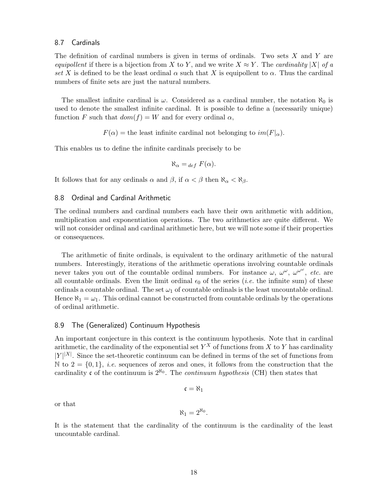### <span id="page-20-0"></span>8.7 Cardinals

The definition of cardinal numbers is given in terms of ordinals. Two sets  $X$  and  $Y$  are equipollent if there is a bijection from X to Y, and we write  $X \approx Y$ . The cardinality |X| of a set X is defined to be the least ordinal  $\alpha$  such that X is equipollent to  $\alpha$ . Thus the cardinal numbers of finite sets are just the natural numbers.

The smallest infinite cardinal is  $\omega$ . Considered as a cardinal number, the notation  $\aleph_0$  is used to denote the smallest infinite cardinal. It is possible to define a (necessarily unique) function F such that  $dom(f) = W$  and for every ordinal  $\alpha$ ,

 $F(\alpha)$  = the least infinite cardinal not belonging to  $im(F|_{\alpha})$ .

This enables us to define the infinite cardinals precisely to be

$$
\aleph_{\alpha} =_{def} F(\alpha).
$$

It follows that for any ordinals  $\alpha$  and  $\beta$ , if  $\alpha < \beta$  then  $\aleph_{\alpha} < \aleph_{\beta}$ .

### <span id="page-20-1"></span>8.8 Ordinal and Cardinal Arithmetic

The ordinal numbers and cardinal numbers each have their own arithmetic with addition, multiplication and exponentiation operations. The two arithmetics are quite different. We will not consider ordinal and cardinal arithmetic here, but we will note some if their properties or consequences.

The arithmetic of finite ordinals, is equivalent to the ordinary arithmetic of the natural numbers. Interestingly, iterations of the arithmetic operations involving countable ordinals never takes you out of the countable ordinal numbers. For instance  $\omega, \omega^{\omega}, \omega^{\omega^{\omega}},$  etc. are all countable ordinals. Even the limit ordinal  $\epsilon_0$  of the series (*i.e.* the infinite sum) of these ordinals a countable ordinal. The set  $\omega_1$  of countable ordinals is the least uncountable ordinal. Hence  $\aleph_1 = \omega_1$ . This ordinal cannot be constructed from countable ordinals by the operations of ordinal arithmetic.

### <span id="page-20-2"></span>8.9 The (Generalized) Continuum Hypothesis

An important conjecture in this context is the continuum hypothesis. Note that in cardinal arithmetic, the cardinality of the exponential set  $Y^X$  of functions from X to Y has cardinality  $|Y|^{|X|}$ . Since the set-theoretic continuum can be defined in terms of the set of functions from N to  $2 = \{0, 1\}$ , *i.e.* sequences of zeros and ones, it follows from the construction that the cardinality c of the continuum is  $2^{\aleph_0}$ . The *continuum hypothesis* (CH) then states that

$$
\mathfrak{c}=\aleph_1
$$

or that

$$
\aleph_1=2^{\aleph_0}.
$$

It is the statement that the cardinality of the continuum is the cardinality of the least uncountable cardinal.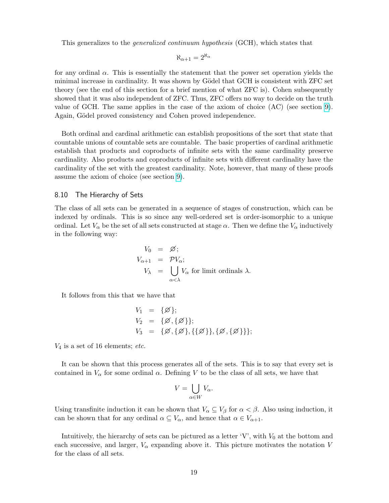This generalizes to the generalized continuum hypothesis (GCH), which states that

$$
\aleph_{\alpha+1}=2^{\aleph_\alpha}
$$

for any ordinal  $\alpha$ . This is essentially the statement that the power set operation yields the minimal increase in cardinality. It was shown by Gödel that GCH is consistent with ZFC set theory (see the end of this section for a brief mention of what ZFC is). Cohen subsequently showed that it was also independent of ZFC. Thus, ZFC offers no way to decide on the truth value of GCH. The same applies in the case of the axiom of choice (AC) (see section [9\)](#page-23-0). Again, Gödel proved consistency and Cohen proved independence.

Both ordinal and cardinal arithmetic can establish propositions of the sort that state that countable unions of countable sets are countable. The basic properties of cardinal arithmetic establish that products and coproducts of infinite sets with the same cardinality preserve cardinality. Also products and coproducts of infinite sets with different cardinality have the cardinality of the set with the greatest cardinality. Note, however, that many of these proofs assume the axiom of choice (see section [9\)](#page-23-0).

### <span id="page-21-0"></span>8.10 The Hierarchy of Sets

The class of all sets can be generated in a sequence of stages of construction, which can be indexed by ordinals. This is so since any well-ordered set is order-isomorphic to a unique ordinal. Let  $V_\alpha$  be the set of all sets constructed at stage  $\alpha$ . Then we define the  $V_\alpha$  inductively in the following way:

$$
V_0 = \emptyset;
$$
  
\n
$$
V_{\alpha+1} = \mathcal{P}V_{\alpha};
$$
  
\n
$$
V_{\lambda} = \bigcup_{\alpha < \lambda} V_{\alpha} \text{ for limit ordinals } \lambda.
$$

It follows from this that we have that

$$
V_1 = \{\emptyset\};
$$
  
\n
$$
V_2 = \{\emptyset, \{\emptyset\}\};
$$
  
\n
$$
V_3 = \{\emptyset, \{\emptyset\}, \{\{\emptyset\}\}, \{\emptyset, \{\emptyset\}\}\};
$$

 $V_4$  is a set of 16 elements; etc.

It can be shown that this process generates all of the sets. This is to say that every set is contained in  $V_{\alpha}$  for some ordinal  $\alpha$ . Defining V to be the class of all sets, we have that

$$
V = \bigcup_{\alpha \in W} V_{\alpha}.
$$

Using transfinite induction it can be shown that  $V_{\alpha} \subseteq V_{\beta}$  for  $\alpha < \beta$ . Also using induction, it can be shown that for any ordinal  $\alpha \subseteq V_\alpha$ , and hence that  $\alpha \in V_{\alpha+1}$ .

Intuitively, the hierarchy of sets can be pictured as a letter  $V'$ , with  $V_0$  at the bottom and each successive, and larger,  $V_{\alpha}$  expanding above it. This picture motivates the notation V for the class of all sets.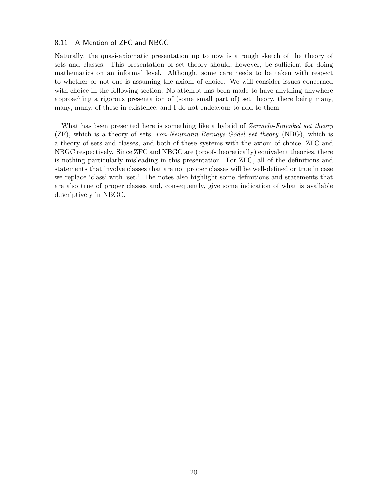### <span id="page-22-0"></span>8.11 A Mention of ZFC and NBGC

Naturally, the quasi-axiomatic presentation up to now is a rough sketch of the theory of sets and classes. This presentation of set theory should, however, be sufficient for doing mathematics on an informal level. Although, some care needs to be taken with respect to whether or not one is assuming the axiom of choice. We will consider issues concerned with choice in the following section. No attempt has been made to have anything anywhere approaching a rigorous presentation of (some small part of) set theory, there being many, many, many, of these in existence, and I do not endeavour to add to them.

What has been presented here is something like a hybrid of Zermelo-Fraenkel set theory  $(ZF)$ , which is a theory of sets, von-Neumann-Bernays-Gödel set theory (NBG), which is a theory of sets and classes, and both of these systems with the axiom of choice, ZFC and NBGC respectively. Since ZFC and NBGC are (proof-theoretically) equivalent theories, there is nothing particularly misleading in this presentation. For ZFC, all of the definitions and statements that involve classes that are not proper classes will be well-defined or true in case we replace 'class' with 'set.' The notes also highlight some definitions and statements that are also true of proper classes and, consequently, give some indication of what is available descriptively in NBGC.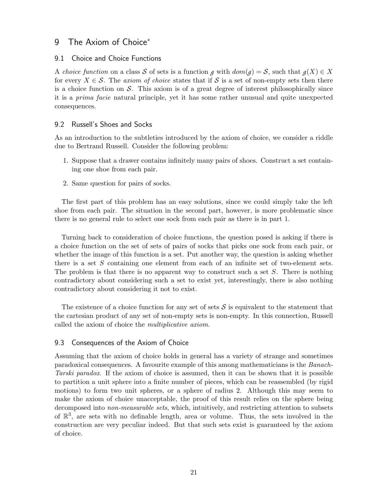### <span id="page-23-0"></span>9 The Axiom of Choice<sup>\*</sup>

### <span id="page-23-1"></span>9.1 Choice and Choice Functions

A choice function on a class S of sets is a function *g* with  $dom(g) = S$ , such that  $g(X) \in X$ for every  $X \in \mathcal{S}$ . The axiom of choice states that if S is a set of non-empty sets then there is a choice function on  $\mathcal S$ . This axiom is of a great degree of interest philosophically since it is a prima facie natural principle, yet it has some rather unusual and quite unexpected consequences.

### <span id="page-23-2"></span>9.2 Russell's Shoes and Socks

As an introduction to the subtleties introduced by the axiom of choice, we consider a riddle due to Bertrand Russell. Consider the following problem:

- 1. Suppose that a drawer contains infinitely many pairs of shoes. Construct a set containing one shoe from each pair.
- 2. Same question for pairs of socks.

The first part of this problem has an easy solutions, since we could simply take the left shoe from each pair. The situation in the second part, however, is more problematic since there is no general rule to select one sock from each pair as there is in part 1.

Turning back to consideration of choice functions, the question posed is asking if there is a choice function on the set of sets of pairs of socks that picks one sock from each pair, or whether the image of this function is a set. Put another way, the question is asking whether there is a set S containing one element from each of an infinite set of two-element sets. The problem is that there is no apparent way to construct such a set S. There is nothing contradictory about considering such a set to exist yet, interestingly, there is also nothing contradictory about considering it not to exist.

The existence of a choice function for any set of sets  $S$  is equivalent to the statement that the cartesian product of any set of non-empty sets is non-empty. In this connection, Russell called the axiom of choice the multiplicative axiom.

### <span id="page-23-3"></span>9.3 Consequences of the Axiom of Choice

Assuming that the axiom of choice holds in general has a variety of strange and sometimes paradoxical consequences. A favourite example of this among mathematicians is the Banach-Tarski paradox. If the axiom of choice is assumed, then it can be shown that it is possible to partition a unit sphere into a finite number of pieces, which can be reassembled (by rigid motions) to form two unit spheres, or a sphere of radius 2. Although this may seem to make the axiom of choice unacceptable, the proof of this result relies on the sphere being decomposed into *non-measurable sets*, which, intuitively, and restricting attention to subsets of  $\mathbb{R}^3$ , are sets with no definable length, area or volume. Thus, the sets involved in the construction are very peculiar indeed. But that such sets exist is guaranteed by the axiom of choice.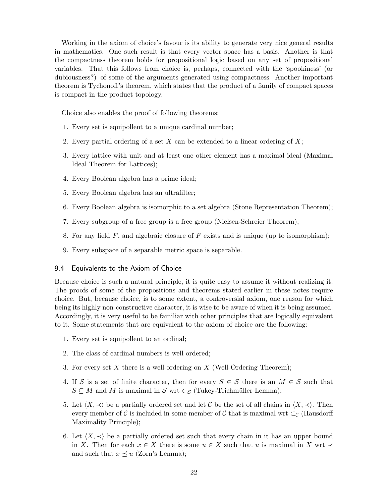Working in the axiom of choice's favour is its ability to generate very nice general results in mathematics. One such result is that every vector space has a basis. Another is that the compactness theorem holds for propositional logic based on any set of propositional variables. That this follows from choice is, perhaps, connected with the 'spookiness' (or dubiousness?) of some of the arguments generated using compactness. Another important theorem is Tychonoff's theorem, which states that the product of a family of compact spaces is compact in the product topology.

Choice also enables the proof of following theorems:

- 1. Every set is equipollent to a unique cardinal number;
- 2. Every partial ordering of a set  $X$  can be extended to a linear ordering of  $X$ ;
- 3. Every lattice with unit and at least one other element has a maximal ideal (Maximal Ideal Theorem for Lattices);
- 4. Every Boolean algebra has a prime ideal;
- 5. Every Boolean algebra has an ultrafilter;
- 6. Every Boolean algebra is isomorphic to a set algebra (Stone Representation Theorem);
- 7. Every subgroup of a free group is a free group (Nielsen-Schreier Theorem);
- 8. For any field  $F$ , and algebraic closure of  $F$  exists and is unique (up to isomorphism);
- 9. Every subspace of a separable metric space is separable.

### <span id="page-24-0"></span>9.4 Equivalents to the Axiom of Choice

Because choice is such a natural principle, it is quite easy to assume it without realizing it. The proofs of some of the propositions and theorems stated earlier in these notes require choice. But, because choice, is to some extent, a controversial axiom, one reason for which being its highly non-constructive character, it is wise to be aware of when it is being assumed. Accordingly, it is very useful to be familiar with other principles that are logically equivalent to it. Some statements that are equivalent to the axiom of choice are the following:

- 1. Every set is equipollent to an ordinal;
- 2. The class of cardinal numbers is well-ordered;
- 3. For every set X there is a well-ordering on X (Well-Ordering Theorem);
- 4. If S is a set of finite character, then for every  $S \in \mathcal{S}$  there is an  $M \in \mathcal{S}$  such that  $S \subseteq M$  and M is maximal in S wrt  $\subset_{\mathcal{S}}$  (Tukey-Teichmüller Lemma);
- 5. Let  $\langle X, \prec \rangle$  be a partially ordered set and let C be the set of all chains in  $\langle X, \prec \rangle$ . Then every member of C is included in some member of C that is maximal wrt  $\subset_{\mathcal{C}}$  (Hausdorff Maximality Principle);
- 6. Let  $\langle X, \prec \rangle$  be a partially ordered set such that every chain in it has an upper bound in X. Then for each  $x \in X$  there is some  $u \in X$  such that u is maximal in X wrt  $\prec$ and such that  $x \preceq u$  (Zorn's Lemma);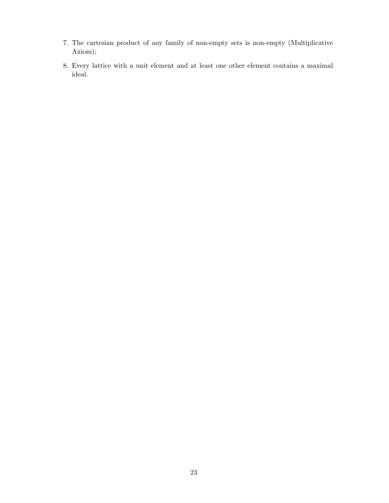- 7. The cartesian product of any family of non-empty sets is non-empty (Multiplicative Axiom);
- 8. Every lattice with a unit element and at least one other element contains a maximal ideal.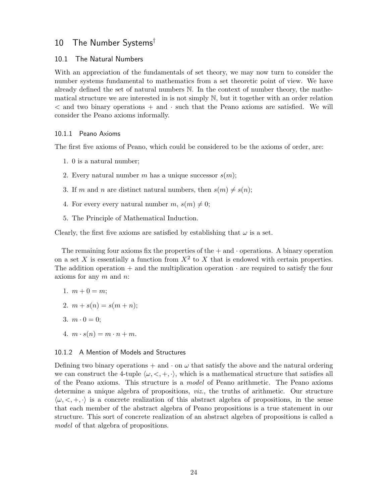### <span id="page-26-0"></span>10 The Number Systems†

### <span id="page-26-1"></span>10.1 The Natural Numbers

With an appreciation of the fundamentals of set theory, we may now turn to consider the number systems fundamental to mathematics from a set theoretic point of view. We have already defined the set of natural numbers N. In the context of number theory, the mathematical structure we are interested in is not simply N, but it together with an order relation  $\leq$  and two binary operations  $+$  and  $\cdot$  such that the Peano axioms are satisfied. We will consider the Peano axioms informally.

### <span id="page-26-2"></span>10.1.1 Peano Axioms

The first five axioms of Peano, which could be considered to be the axioms of order, are:

- 1. 0 is a natural number;
- 2. Every natural number m has a unique successor  $s(m)$ ;
- 3. If m and n are distinct natural numbers, then  $s(m) \neq s(n);$
- 4. For every every natural number  $m, s(m) \neq 0;$
- 5. The Principle of Mathematical Induction.

Clearly, the first five axioms are satisfied by establishing that  $\omega$  is a set.

The remaining four axioms fix the properties of the  $+$  and  $\cdot$  operations. A binary operation on a set X is essentially a function from  $X^2$  to X that is endowed with certain properties. The addition operation + and the multiplication operation  $\cdot$  are required to satisfy the four axioms for any  $m$  and  $n$ :

$$
1. \, m+0=m;
$$

- 2.  $m + s(n) = s(m+n);$
- 3.  $m \cdot 0 = 0$ ;
- 4.  $m \cdot s(n) = m \cdot n + m$ .

### <span id="page-26-3"></span>10.1.2 A Mention of Models and Structures

Defining two binary operations  $+$  and  $\cdot$  on  $\omega$  that satisfy the above and the natural ordering we can construct the 4-tuple  $\langle \omega, \langle , +, \cdot \rangle$ , which is a mathematical structure that satisfies all of the Peano axioms. This structure is a model of Peano arithmetic. The Peano axioms determine a unique algebra of propositions, viz., the truths of arithmetic. Our structure  $\langle \omega, \langle +, \cdot \rangle$  is a concrete realization of this abstract algebra of propositions, in the sense that each member of the abstract algebra of Peano propositions is a true statement in our structure. This sort of concrete realization of an abstract algebra of propositions is called a model of that algebra of propositions.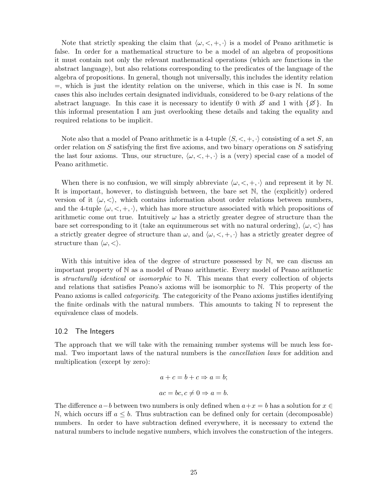Note that strictly speaking the claim that  $\langle \omega, \langle , +, \cdot \rangle$  is a model of Peano arithmetic is false. In order for a mathematical structure to be a model of an algebra of propositions it must contain not only the relevant mathematical operations (which are functions in the abstract language), but also relations corresponding to the predicates of the language of the algebra of propositions. In general, though not universally, this includes the identity relation  $=$ , which is just the identity relation on the universe, which in this case is  $\mathbb N$ . In some cases this also includes certain designated individuals, considered to be 0-ary relations of the abstract language. In this case it is necessary to identify 0 with  $\emptyset$  and 1 with  $\{\emptyset\}$ . In this informal presentation I am just overlooking these details and taking the equality and required relations to be implicit.

Note also that a model of Peano arithmetic is a 4-tuple  $\langle S, \langle , +, \cdot \rangle$  consisting of a set S, an order relation on S satisfying the first five axioms, and two binary operations on S satisfying the last four axioms. Thus, our structure,  $\langle \omega, \langle , +, \cdot \rangle$  is a (very) special case of a model of Peano arithmetic.

When there is no confusion, we will simply abbreviate  $\langle \omega, \langle +, +, \cdot \rangle$  and represent it by N. It is important, however, to distinguish between, the bare set N, the (explicitly) ordered version of it  $\langle \omega, \langle \rangle$ , which contains information about order relations between numbers, and the 4-tuple  $\langle \omega, \langle , +, \cdot \rangle$ , which has more structure associated with which propositions of arithmetic come out true. Intuitively  $\omega$  has a strictly greater degree of structure than the bare set corresponding to it (take an equinumerous set with no natural ordering),  $\langle \omega, \langle \rangle$  has a strictly greater degree of structure than  $\omega$ , and  $\langle \omega, \langle , +, \cdot \rangle$  has a strictly greater degree of structure than  $\langle \omega, \langle \rangle$ .

With this intuitive idea of the degree of structure possessed by N, we can discuss an important property of N as a model of Peano arithmetic. Every model of Peano arithmetic is structurally identical or isomorphic to  $N$ . This means that every collection of objects and relations that satisfies Peano's axioms will be isomorphic to N. This property of the Peano axioms is called categoricity. The categoricity of the Peano axioms justifies identifying the finite ordinals with the natural numbers. This amounts to taking N to represent the equivalence class of models.

### <span id="page-27-0"></span>10.2 The Integers

The approach that we will take with the remaining number systems will be much less formal. Two important laws of the natural numbers is the cancellation laws for addition and multiplication (except by zero):

$$
a + c = b + c \Rightarrow a = b;
$$
  

$$
ac = bc, c \neq 0 \Rightarrow a = b.
$$

The difference  $a-b$  between two numbers is only defined when  $a+x=b$  has a solution for  $x \in$ N, which occurs iff  $a \leq b$ . Thus subtraction can be defined only for certain (decomposable) numbers. In order to have subtraction defined everywhere, it is necessary to extend the natural numbers to include negative numbers, which involves the construction of the integers.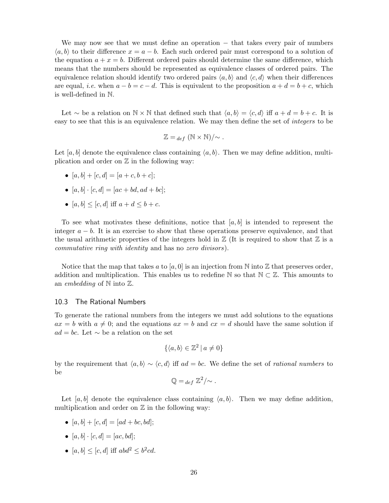We may now see that we must define an operation – that takes every pair of numbers  $\langle a, b \rangle$  to their difference  $x = a - b$ . Each such ordered pair must correspond to a solution of the equation  $a + x = b$ . Different ordered pairs should determine the same difference, which means that the numbers should be represented as equivalence classes of ordered pairs. The equivalence relation should identify two ordered pairs  $\langle a, b \rangle$  and  $\langle c, d \rangle$  when their differences are equal, *i.e.* when  $a - b = c - d$ . This is equivalent to the proposition  $a + d = b + c$ , which is well-defined in N.

Let ~ be a relation on  $\mathbb{N} \times \mathbb{N}$  that defined such that  $\langle a, b \rangle = \langle c, d \rangle$  iff  $a + d = b + c$ . It is easy to see that this is an equivalence relation. We may then define the set of *integers* to be

$$
\mathbb{Z} =_{def} (\mathbb{N} \times \mathbb{N})/\sim.
$$

Let [a, b] denote the equivalence class containing  $\langle a, b \rangle$ . Then we may define addition, multiplication and order on  $\mathbb Z$  in the following way:

- $[a, b] + [c, d] = [a + c, b + c];$
- $[a, b] \cdot [c, d] = [ac + bd, ad + bc];$
- $[a, b] \leq [c, d]$  iff  $a + d \leq b + c$ .

To see what motivates these definitions, notice that  $[a, b]$  is intended to represent the integer  $a - b$ . It is an exercise to show that these operations preserve equivalence, and that the usual arithmetic properties of the integers hold in  $\mathbb{Z}$  (It is required to show that  $\mathbb{Z}$  is a commutative ring with identity and has no zero divisors).

Notice that the map that takes a to [a, 0] is an injection from N into  $\mathbb Z$  that preserves order, addition and multiplication. This enables us to redefine  $\mathbb N$  so that  $\mathbb N \subset \mathbb Z$ . This amounts to an *embedding* of  $\mathbb N$  into  $\mathbb Z$ .

### <span id="page-28-0"></span>10.3 The Rational Numbers

To generate the rational numbers from the integers we must add solutions to the equations  $ax = b$  with  $a \neq 0$ ; and the equations  $ax = b$  and  $cx = d$  should have the same solution if  $ad = bc$ . Let  $\sim$  be a relation on the set

$$
\{\langle a, b \rangle \in \mathbb{Z}^2 \mid a \neq 0\}
$$

by the requirement that  $\langle a, b \rangle \sim \langle c, d \rangle$  iff  $ad = bc$ . We define the set of *rational numbers* to be

$$
\mathbb{Q} =_{def} \mathbb{Z}^2 / \! \sim.
$$

Let [a, b] denote the equivalence class containing  $\langle a, b \rangle$ . Then we may define addition, multiplication and order on  $Z$  in the following way:

- $[a, b] + [c, d] = [ad + bc, bd];$
- $[a, b] \cdot [c, d] = [ac, bd];$
- $[a, b] \leq [c, d]$  iff  $abd^2 \leq b^2cd$ .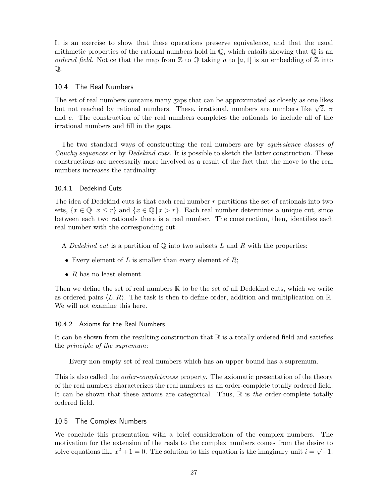It is an exercise to show that these operations preserve equivalence, and that the usual arithmetic properties of the rational numbers hold in  $\mathbb{Q}$ , which entails showing that  $\mathbb{Q}$  is an ordered field. Notice that the map from  $\mathbb Z$  to  $\mathbb Q$  taking a to [a, 1] is an embedding of  $\mathbb Z$  into Q.

### <span id="page-29-0"></span>10.4 The Real Numbers

The set of real numbers contains many gaps that can be approximated as closely as one likes The set of real numbers contains many gaps that can be approximated as closely as one fikes<br>but not reached by rational numbers. These, irrational, numbers are numbers like  $\sqrt{2}$ ,  $\pi$ and e. The construction of the real numbers completes the rationals to include all of the irrational numbers and fill in the gaps.

The two standard ways of constructing the real numbers are by equivalence classes of Cauchy sequences or by Dedekind cuts. It is possible to sketch the latter construction. These constructions are necessarily more involved as a result of the fact that the move to the real numbers increases the cardinality.

### <span id="page-29-1"></span>10.4.1 Dedekind Cuts

The idea of Dedekind cuts is that each real number  $r$  partitions the set of rationals into two sets,  $\{x \in \mathbb{Q} \mid x \leq r\}$  and  $\{x \in \mathbb{Q} \mid x > r\}$ . Each real number determines a unique cut, since between each two rationals there is a real number. The construction, then, identifies each real number with the corresponding cut.

- A Dedekind cut is a partition of  $\mathbb Q$  into two subsets L and R with the properties:
- Every element of L is smaller than every element of  $R$ ;
- $R$  has no least element.

Then we define the set of real numbers  $\mathbb R$  to be the set of all Dedekind cuts, which we write as ordered pairs  $\langle L, R \rangle$ . The task is then to define order, addition and multiplication on R. We will not examine this here.

### <span id="page-29-2"></span>10.4.2 Axioms for the Real Numbers

It can be shown from the resulting construction that  $\mathbb R$  is a totally ordered field and satisfies the principle of the supremum:

Every non-empty set of real numbers which has an upper bound has a supremum.

This is also called the *order-completeness* property. The axiomatic presentation of the theory of the real numbers characterizes the real numbers as an order-complete totally ordered field. It can be shown that these axioms are categorical. Thus,  $\mathbb R$  is the order-complete totally ordered field.

### <span id="page-29-3"></span>10.5 The Complex Numbers

We conclude this presentation with a brief consideration of the complex numbers. The motivation for the extension of the reals to the complex numbers comes from the desire to solve equations like  $x^2 + 1 = 0$ . The solution to this equation is the imaginary unit  $i = \sqrt{-1}$ .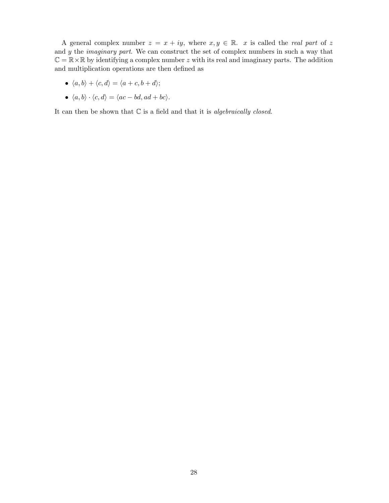A general complex number  $z = x + iy$ , where  $x, y \in \mathbb{R}$ . x is called the real part of z and  $y$  the *imaginary part*. We can construct the set of complex numbers in such a way that  $\mathbb{C} = \mathbb{R} \times \mathbb{R}$  by identifying a complex number z with its real and imaginary parts. The addition and multiplication operations are then defined as

- $\langle a, b \rangle + \langle c, d \rangle = \langle a + c, b + d \rangle;$
- $\langle a, b \rangle \cdot \langle c, d \rangle = \langle ac bd, ad + bc \rangle.$

It can then be shown that  $C$  is a field and that it is *algebraically closed*.